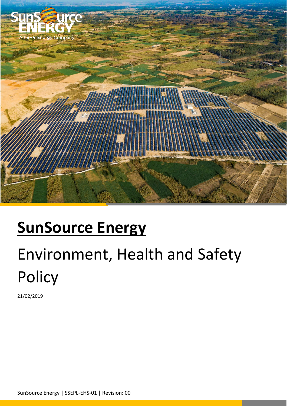

## **SunSource Energy**

# Environment, Health and Safety Policy

21/02/2019